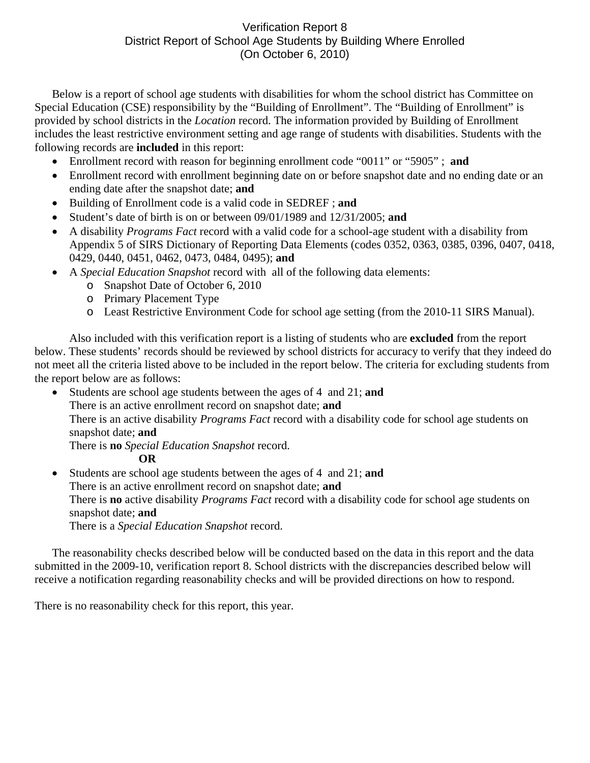## Verification Report 8 District Report of School Age Students by Building Where Enrolled (On October 6, 2010)

Below is a report of school age students with disabilities for whom the school district has Committee on Special Education (CSE) responsibility by the "Building of Enrollment". The "Building of Enrollment" is provided by school districts in the *Location* record. The information provided by Building of Enrollment includes the least restrictive environment setting and age range of students with disabilities. Students with the following records are **included** in this report:

- Enrollment record with reason for beginning enrollment code "0011" or "5905" ; **and**
- Enrollment record with enrollment beginning date on or before snapshot date and no ending date or an ending date after the snapshot date; **and**
- Building of Enrollment code is a valid code in SEDREF ; **and**
- Student's date of birth is on or between 09/01/1989 and 12/31/2005; **and**
- A disability *Programs Fact* record with a valid code for a school-age student with a disability from Appendix 5 of SIRS Dictionary of Reporting Data Elements (codes 0352, 0363, 0385, 0396, 0407, 0418, 0429, 0440, 0451, 0462, 0473, 0484, 0495); **and**
- A *Special Education Snapshot* record with all of the following data elements:
	- o Snapshot Date of October 6, 2010
	- o Primary Placement Type
	- o Least Restrictive Environment Code for school age setting (from the 2010-11 SIRS Manual).

Also included with this verification report is a listing of students who are **excluded** from the report below. These students' records should be reviewed by school districts for accuracy to verify that they indeed do not meet all the criteria listed above to be included in the report below. The criteria for excluding students from the report below are as follows:

• Students are school age students between the ages of 4 and 21; **and** There is an active enrollment record on snapshot date; **and** There is an active disability *Programs Fact* record with a disability code for school age students on snapshot date; **and**  There is **no** *Special Education Snapshot* record.

**OR** 

• Students are school age students between the ages of 4 and 21; **and**  There is an active enrollment record on snapshot date; **and** There is **no** active disability *Programs Fact* record with a disability code for school age students on snapshot date; **and**  There is a *Special Education Snapshot* record.

The reasonability checks described below will be conducted based on the data in this report and the data submitted in the 2009-10, verification report 8. School districts with the discrepancies described below will receive a notification regarding reasonability checks and will be provided directions on how to respond.

There is no reasonability check for this report, this year.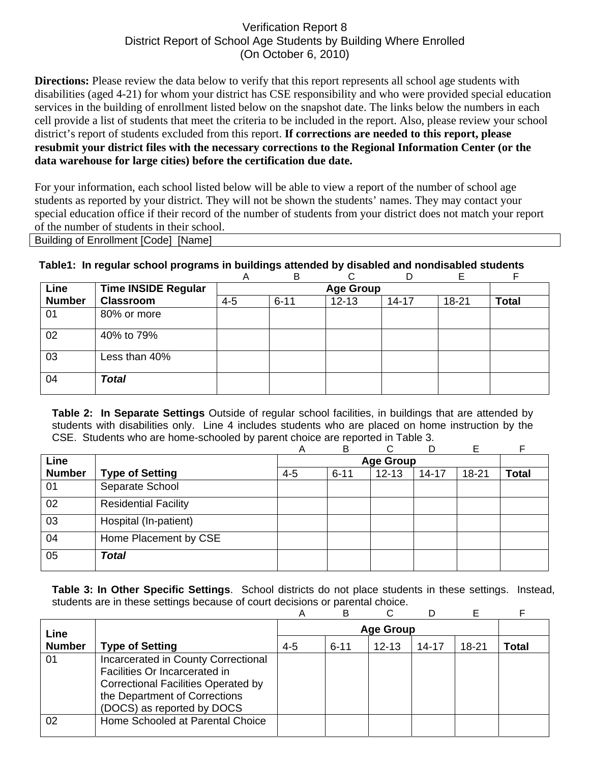## Verification Report 8 District Report of School Age Students by Building Where Enrolled (On October 6, 2010)

**Directions:** Please review the data below to verify that this report represents all school age students with disabilities (aged 4-21) for whom your district has CSE responsibility and who were provided special education services in the building of enrollment listed below on the snapshot date. The links below the numbers in each cell provide a list of students that meet the criteria to be included in the report. Also, please review your school district's report of students excluded from this report. **If corrections are needed to this report, please resubmit your district files with the necessary corrections to the Regional Information Center (or the data warehouse for large cities) before the certification due date.**

For your information, each school listed below will be able to view a report of the number of school age students as reported by your district. They will not be shown the students' names. They may contact your special education office if their record of the number of students from your district does not match your report of the number of students in their school.

Building of Enrollment [Code] [Name]

## **Table1: In regular school programs in buildings attended by disabled and nondisabled students**

|               |                            | A       | B        |           |           |       |              |
|---------------|----------------------------|---------|----------|-----------|-----------|-------|--------------|
| Line          | <b>Time INSIDE Regular</b> |         |          |           |           |       |              |
| <b>Number</b> | <b>Classroom</b>           | $4 - 5$ | $6 - 11$ | $12 - 13$ | $14 - 17$ | 18-21 | <b>Total</b> |
| 01            | 80% or more                |         |          |           |           |       |              |
| 02            | 40% to 79%                 |         |          |           |           |       |              |
| 03            | Less than 40%              |         |          |           |           |       |              |
| 04            | <b>Total</b>               |         |          |           |           |       |              |

**Table 2: In Separate Settings** Outside of regular school facilities, in buildings that are attended by students with disabilities only. Line 4 includes students who are placed on home instruction by the CSE. Students who are home-schooled by parent choice are reported in Table 3.

|               |                             | А       | B                | ⌒         | D         | E         | F            |
|---------------|-----------------------------|---------|------------------|-----------|-----------|-----------|--------------|
| Line          |                             |         | <b>Age Group</b> |           |           |           |              |
| <b>Number</b> | <b>Type of Setting</b>      | $4 - 5$ | $6 - 11$         | $12 - 13$ | $14 - 17$ | $18 - 21$ | <b>Total</b> |
| 01            | Separate School             |         |                  |           |           |           |              |
| 02            | <b>Residential Facility</b> |         |                  |           |           |           |              |
| 03            | Hospital (In-patient)       |         |                  |           |           |           |              |
| 04            | Home Placement by CSE       |         |                  |           |           |           |              |
| 05            | <b>Total</b>                |         |                  |           |           |           |              |

**Table 3: In Other Specific Settings**. School districts do not place students in these settings. Instead, students are in these settings because of court decisions or parental choice.

|               |                                                                                                                                                                                   | Α       | В        |           |       |       |       |
|---------------|-----------------------------------------------------------------------------------------------------------------------------------------------------------------------------------|---------|----------|-----------|-------|-------|-------|
| Line          |                                                                                                                                                                                   |         |          |           |       |       |       |
| <b>Number</b> | <b>Type of Setting</b>                                                                                                                                                            | $4 - 5$ | $6 - 11$ | $12 - 13$ | 14-17 | 18-21 | Total |
| 01            | Incarcerated in County Correctional<br>Facilities Or Incarcerated in<br><b>Correctional Facilities Operated by</b><br>the Department of Corrections<br>(DOCS) as reported by DOCS |         |          |           |       |       |       |
| 02            | Home Schooled at Parental Choice                                                                                                                                                  |         |          |           |       |       |       |